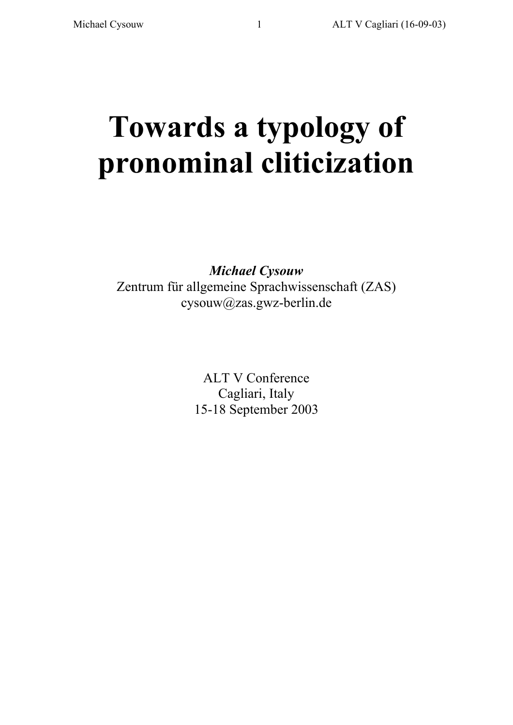# **Towards a typology of pronominal cliticization**

*Michael Cysouw* Zentrum für allgemeine Sprachwissenschaft (ZAS) cysouw@zas.gwz-berlin.de

> ALT V Conference Cagliari, Italy 15-18 September 2003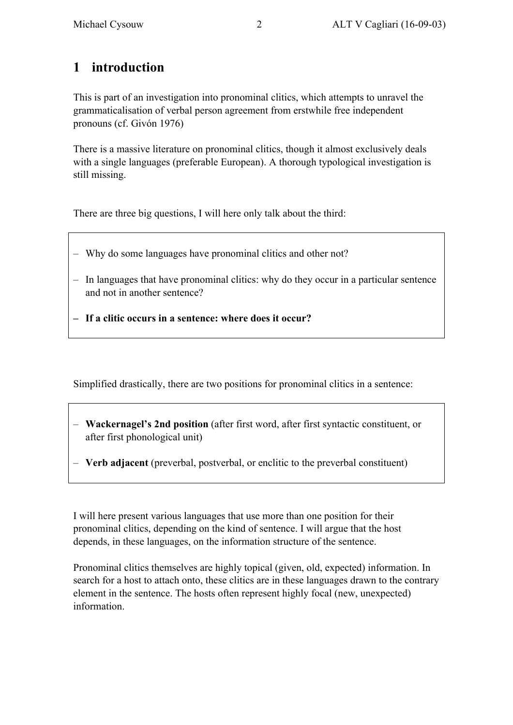# **1 introduction**

This is part of an investigation into pronominal clitics, which attempts to unravel the grammaticalisation of verbal person agreement from erstwhile free independent pronouns (cf. Givón 1976)

There is a massive literature on pronominal clitics, though it almost exclusively deals with a single languages (preferable European). A thorough typological investigation is still missing.

There are three big questions, I will here only talk about the third:

- Why do some languages have pronominal clitics and other not?
- In languages that have pronominal clitics: why do they occur in a particular sentence and not in another sentence?
- **– If a clitic occurs in a sentence: where does it occur?**

Simplified drastically, there are two positions for pronominal clitics in a sentence:

- **Wackernagel's 2nd position** (after first word, after first syntactic constituent, or after first phonological unit)
- **Verb adjacent** (preverbal, postverbal, or enclitic to the preverbal constituent)

I will here present various languages that use more than one position for their pronominal clitics, depending on the kind of sentence. I will argue that the host depends, in these languages, on the information structure of the sentence.

Pronominal clitics themselves are highly topical (given, old, expected) information. In search for a host to attach onto, these clitics are in these languages drawn to the contrary element in the sentence. The hosts often represent highly focal (new, unexpected) information.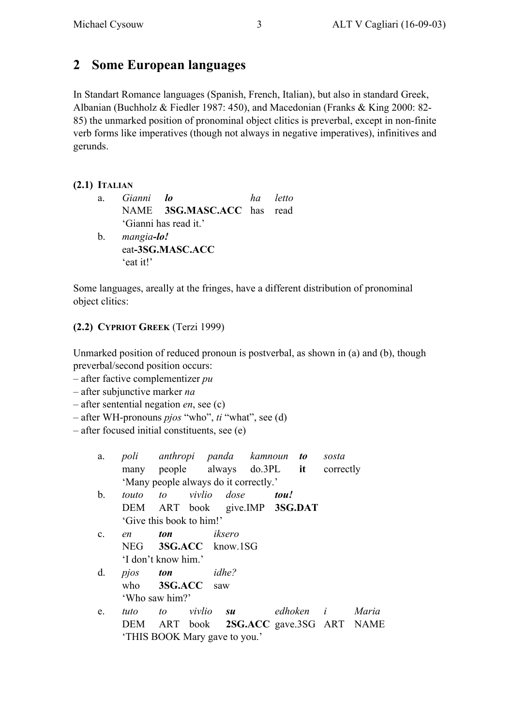# **2 Some European languages**

In Standart Romance languages (Spanish, French, Italian), but also in standard Greek, Albanian (Buchholz & Fiedler 1987: 450), and Macedonian (Franks & King 2000: 82- 85) the unmarked position of pronominal object clitics is preverbal, except in non-finite verb forms like imperatives (though not always in negative imperatives), infinitives and gerunds.

#### **(2.1) ITALIAN**

a. *Gianni lo ha letto* NAME **3SG.MASC.ACC** has read 'Gianni has read it.' b. *mangia-lo!* eat**-3SG.MASC.ACC** 'eat it!'

Some languages, areally at the fringes, have a different distribution of pronominal object clitics:

#### **(2.2) CYPRIOT GREEK** (Terzi 1999)

Unmarked position of reduced pronoun is postverbal, as shown in (a) and (b), though preverbal/second position occurs:

- after factive complementizer *pu*
- after subjunctive marker *na*
- after sentential negation *en*, see (c)
- after WH-pronouns *pjos* "who", *ti* "what", see (d)
- after focused initial constituents, see (e)

|   |                                       | a. poli anthropi panda kamnoun <b>to</b> sosta<br>many people always do.3PL it correctly |  |
|---|---------------------------------------|------------------------------------------------------------------------------------------|--|
| h | 'Many people always do it correctly.' | touto to vivlio dose <b>tou</b> !                                                        |  |

- b. *touto to vivlio dose tou!* DEM ART book give.IMP **3SG.DAT** 'Give this book to him!'
- c. *en ton iksero* NEG **3SG.ACC** know.1SG 'I don't know him.'
- d. *pjos ton idhe?* who **3SG.ACC** saw 'Who saw him?'
- e. *tuto to vivlio su edhoken i Maria* DEM ART book **2SG.ACC** gave.3SG ART NAME 'THIS BOOK Mary gave to you.'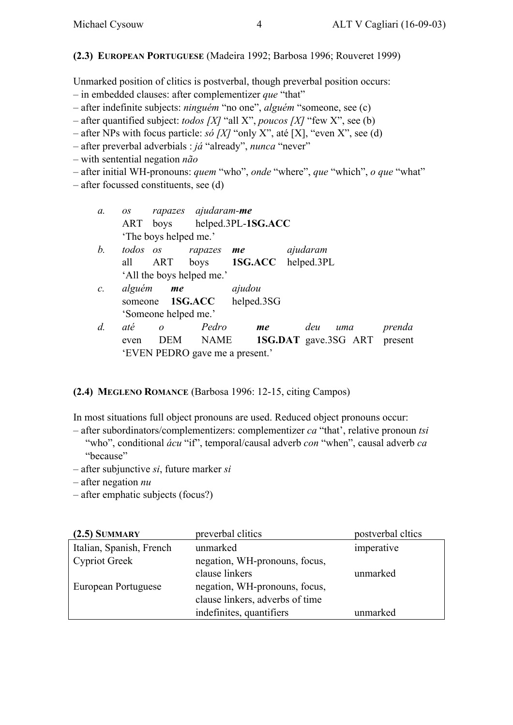#### **(2.3) EUROPEAN PORTUGUESE** (Madeira 1992; Barbosa 1996; Rouveret 1999)

Unmarked position of clitics is postverbal, though preverbal position occurs:

- in embedded clauses: after complementizer *que* "that"
- after indefinite subjects: *ninguém* "no one", *alguém* "someone, see (c)
- after quantified subject: *todos [X]* "all X", *poucos [X]* "few X", see (b)
- after NPs with focus particle: *só [X]* "only X", até [X], "even X", see (d)
- after preverbal adverbials : *já* "already", *nunca* "never"

– with sentential negation *não*

- after initial WH-pronouns: *quem* "who", *onde* "where", *que* "which", *o que* "what"
- after focussed constituents, see (d)

| $a$ .           | OS.      |                       | rapazes ajudaram-me       |                                   |                                     |     |        |
|-----------------|----------|-----------------------|---------------------------|-----------------------------------|-------------------------------------|-----|--------|
|                 | ART      |                       |                           | boys helped.3PL-1SG.ACC           |                                     |     |        |
|                 |          | 'The boys helped me.' |                           |                                   |                                     |     |        |
| b.              | todos os |                       | rapazes me                |                                   | ajudaram                            |     |        |
|                 | all      | ART                   |                           | boys 1SG.ACC helped.3PL           |                                     |     |        |
|                 |          |                       | 'All the boys helped me.' |                                   |                                     |     |        |
| $\mathcal{C}$ . | alguém   | me                    |                           | ajudou                            |                                     |     |        |
|                 |          |                       |                           | someone <b>1SG.ACC</b> helped.3SG |                                     |     |        |
|                 |          | 'Someone helped me.'  |                           |                                   |                                     |     |        |
| $d$ .           | até      | $\theta$              | Pedro                     | me                                | deu                                 | uma | prenda |
|                 | even     | <b>DEM</b>            | <b>NAME</b>               |                                   | <b>1SG.DAT</b> gave.3SG ART present |     |        |
|                 |          |                       |                           | 'EVEN PEDRO gave me a present.'   |                                     |     |        |

#### **(2.4) MEGLENO ROMANCE** (Barbosa 1996: 12-15, citing Campos)

In most situations full object pronouns are used. Reduced object pronouns occur:

- after subordinators/complementizers: complementizer *ca* "that', relative pronoun *tsi* "who", conditional *ácu* "if", temporal/causal adverb *con* "when", causal adverb *ca* "because"
- after subjunctive *si*, future marker *si*
- after negation *nu*
- after emphatic subjects (focus?)

| $(2.5)$ SUMMARY          | preverbal clitics               | postverbal cltics |
|--------------------------|---------------------------------|-------------------|
| Italian, Spanish, French | unmarked                        | imperative        |
| <b>Cypriot Greek</b>     | negation, WH-pronouns, focus,   |                   |
|                          | clause linkers                  | unmarked          |
| European Portuguese      | negation, WH-pronouns, focus,   |                   |
|                          | clause linkers, adverbs of time |                   |
|                          | indefinites, quantifiers        | unmarked          |
|                          |                                 |                   |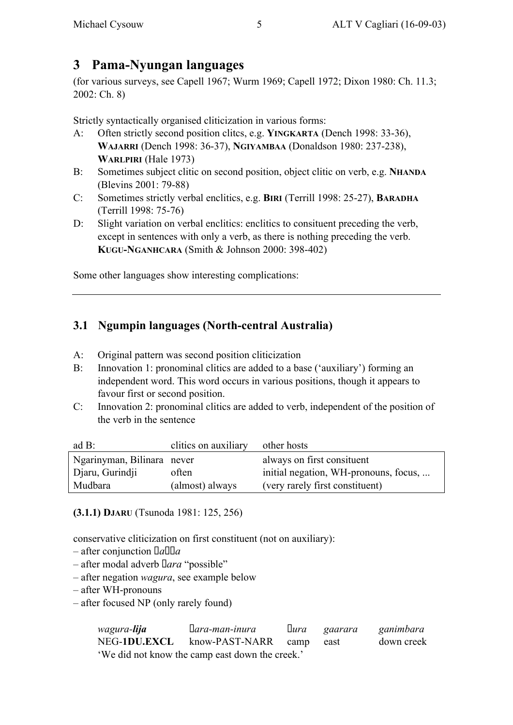# **3 Pama-Nyungan languages**

(for various surveys, see Capell 1967; Wurm 1969; Capell 1972; Dixon 1980: Ch. 11.3; 2002: Ch. 8)

Strictly syntactically organised cliticization in various forms:

- A: Often strictly second position clitcs, e.g. **YINGKARTA** (Dench 1998: 33-36), **WAJARRI** (Dench 1998: 36-37), **NGIYAMBAA** (Donaldson 1980: 237-238), **WARLPIRI** (Hale 1973)
- B: Sometimes subject clitic on second position, object clitic on verb, e.g. **NHANDA** (Blevins 2001: 79-88)
- C: Sometimes strictly verbal enclitics, e.g. **BIRI** (Terrill 1998: 25-27), **BARADHA** (Terrill 1998: 75-76)
- D: Slight variation on verbal enclitics: enclitics to consituent preceding the verb, except in sentences with only a verb, as there is nothing preceding the verb. **KUGU-NGANHCARA** (Smith & Johnson 2000: 398-402)

Some other languages show interesting complications:

## **3.1 Ngumpin languages (North-central Australia)**

- A: Original pattern was second position cliticization
- B: Innovation 1: pronominal clitics are added to a base ('auxiliary') forming an independent word. This word occurs in various positions, though it appears to favour first or second position.
- C: Innovation 2: pronominal clitics are added to verb, independent of the position of the verb in the sentence

| ad $B$ :                   | clitics on auxiliary | other hosts                           |
|----------------------------|----------------------|---------------------------------------|
| Ngarinyman, Bilinara never |                      | always on first consituent            |
| Djaru, Gurindji            | often                | initial negation, WH-pronouns, focus, |
| Mudbara                    | (almost) always      | (very rarely first constituent)       |

**(3.1.1) DJARU** (Tsunoda 1981: 125, 256)

conservative cliticization on first constituent (not on auxiliary):

- $-$  after conjunction *nanga*
- after modal adverb *Nara* "possible"
- after negation *wagura*, see example below
- after WH-pronouns
- after focused NP (only rarely found)

| wagura- <b>lija</b>  | nara-man-inura                                  | nura | gaarara | ganimbara  |
|----------------------|-------------------------------------------------|------|---------|------------|
| NEG-1 <b>DU.EXCL</b> | know-PAST-NARR camp                             |      | east    | down creek |
|                      | 'We did not know the camp east down the creek.' |      |         |            |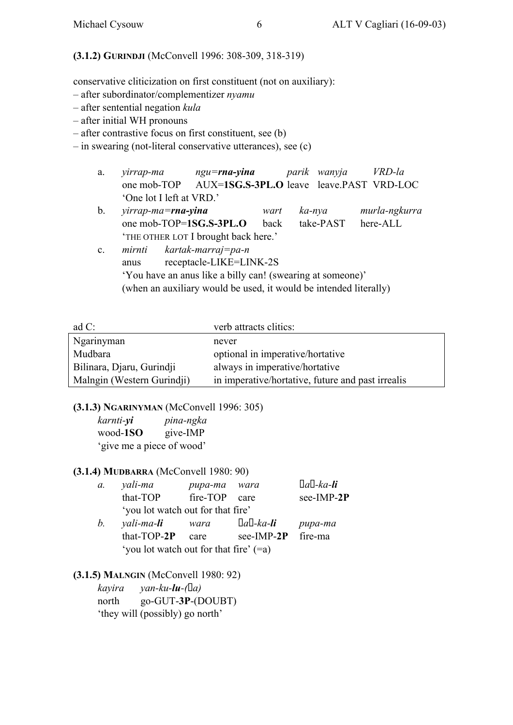#### **(3.1.2) GURINDJI** (McConvell 1996: 308-309, 318-319)

conservative cliticization on first constituent (not on auxiliary):

- after subordinator/complementizer *nyamu*
- after sentential negation *kula*
- after initial WH pronouns
- after contrastive focus on first constituent, see (b)
- in swearing (not-literal conservative utterances), see (c)
	- a. *yirrap-ma ngu=rna-yina parik wanyja VRD-la* one mob-TOP AUX=**1SG.S-3PL.O** leave leave.PAST VRD-LOC 'One lot I left at VRD.'
	- b. *yirrap-ma=rna-yina wart ka-nya murla-ngkurra* one mob-TOP=**1SG.S-3PL.O** back take-PAST here-ALL 'THE OTHER LOT I brought back here.'
	- c. *mirnti kartak-marraj=pa-n* anus receptacle-LIKE=LINK-2S 'You have an anus like a billy can! (swearing at someone)' (when an auxiliary would be used, it would be intended literally)

| ad $C$ :                   | verb attracts clitics:                            |
|----------------------------|---------------------------------------------------|
| Ngarinyman                 | never                                             |
| Mudbara                    | optional in imperative/hortative                  |
| Bilinara, Djaru, Gurindji  | always in imperative/hortative                    |
| Malngin (Western Gurindji) | in imperative/hortative, future and past irrealis |

**(3.1.3) NGARINYMAN** (McConvell 1996: 305)

*karnti-yi pina-ngka* wood-**1SO** give-IMP 'give me a piece of wood'

#### **(3.1.4) MUDBARRA** (McConvell 1980: 90)

| $\mathfrak{a}$ . | yali-ma                                  | pupa-ma  | wara              | nan-ka-li  |
|------------------|------------------------------------------|----------|-------------------|------------|
|                  | that-TOP                                 | fire-TOP | care              | see-IMP-2P |
|                  | 'you lot watch out for that fire'        |          |                   |            |
| b.               | yali-ma- <b>li</b>                       | wara     | naŋ-ka- <b>li</b> | pupa-ma    |
|                  | that-TOP-2P                              | care     | see-IMP-2P        | fire-ma    |
|                  | 'you lot watch out for that fire' $(=a)$ |          |                   |            |

#### **(3.1.5) MALNGIN** (McConvell 1980: 92)

| kayira | $\gamma$ an-ku- <b>lu</b> -(na) |
|--------|---------------------------------|
| north  | $go-GUT-3P- (DOUBT)$            |
|        | 'they will (possibly) go north' |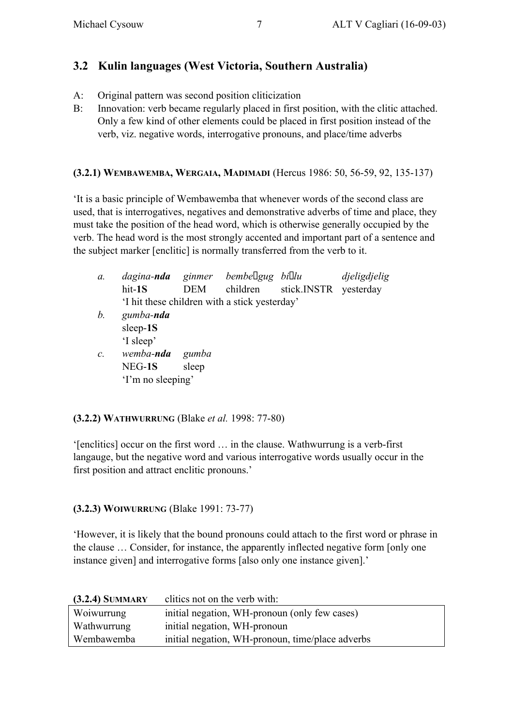## **3.2 Kulin languages (West Victoria, Southern Australia)**

- A: Original pattern was second position cliticization
- B: Innovation: verb became regularly placed in first position, with the clitic attached. Only a few kind of other elements could be placed in first position instead of the verb, viz. negative words, interrogative pronouns, and place/time adverbs

#### **(3.2.1) WEMBAWEMBA, WERGAIA, MADIMADI** (Hercus 1986: 50, 56-59, 92, 135-137)

'It is a basic principle of Wembawemba that whenever words of the second class are used, that is interrogatives, negatives and demonstrative adverbs of time and place, they must take the position of the head word, which is otherwise generally occupied by the verb. The head word is the most strongly accented and important part of a sentence and the subject marker [enclitic] is normally transferred from the verb to it.

| а.              | dagina- <b>nda</b>                           |            | ginmer bembengug biolu |                       | djeligdjelig |
|-----------------|----------------------------------------------|------------|------------------------|-----------------------|--------------|
|                 | hit-1S                                       | <b>DEM</b> | children               | stick.INSTR yesterday |              |
|                 | I hit these children with a stick yesterday' |            |                        |                       |              |
| b.              | gumba-nda                                    |            |                        |                       |              |
|                 | sleep-1S                                     |            |                        |                       |              |
|                 | 'I sleep'                                    |            |                        |                       |              |
| $\mathcal{C}$ . | wemba- <b>nda</b>                            | gumba      |                        |                       |              |
|                 | NEG-1S                                       | sleep      |                        |                       |              |
|                 | 'I'm no sleeping'                            |            |                        |                       |              |
|                 |                                              |            |                        |                       |              |

#### **(3.2.2) WATHWURRUNG** (Blake *et al.* 1998: 77-80)

'[enclitics] occur on the first word … in the clause. Wathwurrung is a verb-first langauge, but the negative word and various interrogative words usually occur in the first position and attract enclitic pronouns.'

#### **(3.2.3) WOIWURRUNG** (Blake 1991: 73-77)

'However, it is likely that the bound pronouns could attach to the first word or phrase in the clause … Consider, for instance, the apparently inflected negative form [only one instance given] and interrogative forms [also only one instance given].'

| $(3.2.4)$ SUMMARY | clitics not on the verb with:                    |
|-------------------|--------------------------------------------------|
| Woiwurrung        | initial negation, WH-pronoun (only few cases)    |
| Wathwurrung       | initial negation, WH-pronoun                     |
| Wembawemba        | initial negation, WH-pronoun, time/place adverbs |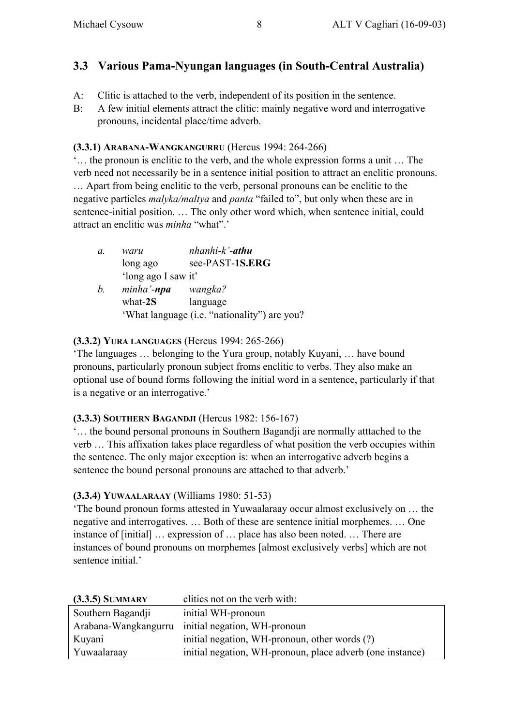## **3.3 Various Pama-Nyungan languages (in South-Central Australia)**

- A: Clitic is attached to the verb, independent of its position in the sentence.
- B: A few initial elements attract the clitic: mainly negative word and interrogative pronouns, incidental place/time adverb.

#### **(3.3.1) ARABANA-WANGKANGURRU** (Hercus 1994: 264-266)

'… the pronoun is enclitic to the verb, and the whole expression forms a unit … The verb need not necessarily be in a sentence initial position to attract an enclitic pronouns. … Apart from being enclitic to the verb, personal pronouns can be enclitic to the negative particles *malyka/maltya* and *panta* "failed to", but only when these are in sentence-initial position. … The only other word which, when sentence initial, could attract an enclitic was *minha* "what".'

| a. | waru                | nhanhi-k'- <b>athu</b>                       |
|----|---------------------|----------------------------------------------|
|    | long ago            | see-PAST-1S.ERG                              |
|    | 'long ago I saw it' |                                              |
| b. | minha' <b>-npa</b>  | wangka?                                      |
|    | what- $2S$          | language                                     |
|    |                     | 'What language (i.e. "nationality") are you? |

#### **(3.3.2) YURA LANGUAGES** (Hercus 1994: 265-266)

'The languages … belonging to the Yura group, notably Kuyani, … have bound pronouns, particularly pronoun subject froms enclitic to verbs. They also make an optional use of bound forms following the initial word in a sentence, particularly if that is a negative or an interrogative.'

#### **(3.3.3) SOUTHERN BAGANDJI** (Hercus 1982: 156-167)

'… the bound personal pronouns in Southern Bagandji are normally atttached to the verb … This affixation takes place regardless of what position the verb occupies within the sentence. The only major exception is: when an interrogative adverb begins a sentence the bound personal pronouns are attached to that adverb.'

#### **(3.3.4) YUWAALARAAY** (Williams 1980: 51-53)

'The bound pronoun forms attested in Yuwaalaraay occur almost exclusively on … the negative and interrogatives. … Both of these are sentence initial morphemes. … One instance of [initial] … expression of … place has also been noted. … There are instances of bound pronouns on morphemes [almost exclusively verbs] which are not sentence initial.'

| $(3.3.5)$ SUMMARY    | clitics not on the verb with:                             |
|----------------------|-----------------------------------------------------------|
| Southern Bagandji    | initial WH-pronoun                                        |
| Arabana-Wangkangurru | initial negation, WH-pronoun                              |
| Kuyani               | initial negation, WH-pronoun, other words (?)             |
| Yuwaalaraay          | initial negation, WH-pronoun, place adverb (one instance) |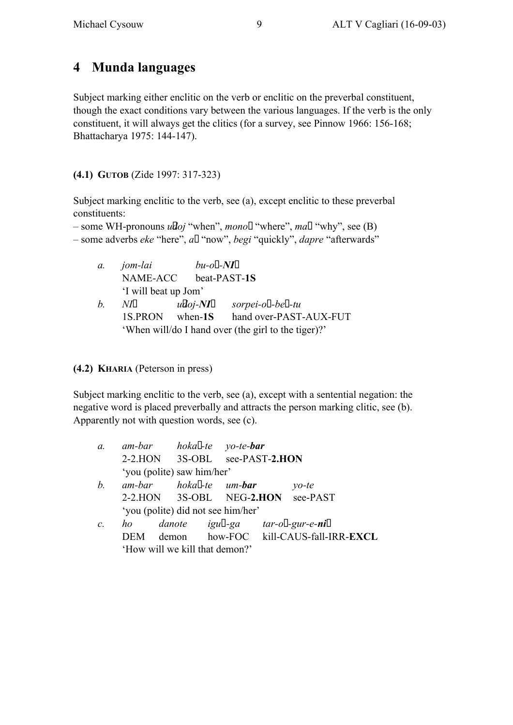# **4 Munda languages**

Subject marking either enclitic on the verb or enclitic on the preverbal constituent, though the exact conditions vary between the various languages. If the verb is the only constituent, it will always get the clitics (for a survey, see Pinnow 1966: 156-168; Bhattacharya 1975: 144-147).

**(4.1) GUTOB** (Zide 1997: 317-323)

Subject marking enclitic to the verb, see (a), except enclitic to these preverbal constituents:

– some WH-pronouns *u'doj* "when", *mono?* "where", *maN* "why", see (B) – some adverbs *eke* "here", *a?* "now", *begi* "quickly", *dapre* "afterwards"

| $\mathfrak{a}$ . | jom-lai<br>NAME-ACC                                 | $bu$ -o?- $NI$ n          | beat-PAST-1S           |
|------------------|-----------------------------------------------------|---------------------------|------------------------|
|                  | 'I will beat up Jom'                                |                           |                        |
| b.               | N ln                                                | $\tilde{u}$ doj-NI $\eta$ | sorpei-o?-be?-tu       |
|                  | 1S.PRON when-1S                                     |                           | hand over-PAST-AUX-FUT |
|                  | 'When will/do I hand over (the girl to the tiger)?' |                           |                        |

**(4.2) KHARIA** (Peterson in press)

Subject marking enclitic to the verb, see (a), except with a sentential negation: the negative word is placed preverbally and attracts the person marking clitic, see (b). Apparently not with question words, see (c).

| $\mathfrak{a}$ . |      | am-bar hokar-te yo-te- <b>bar</b>  |  |                                       |
|------------------|------|------------------------------------|--|---------------------------------------|
|                  |      | 2-2.HON 3S-OBL see-PAST-2.HON      |  |                                       |
|                  |      | 'you (polite) saw him/her'         |  |                                       |
| b.               |      | am-bar hokar-te um- <b>bar</b>     |  | $\gamma$ <i>o</i> -te                 |
|                  |      |                                    |  | 2-2.HON 3S-OBL NEG-2.HON see-PAST     |
|                  |      | 'you (polite) did not see him/her' |  |                                       |
| $\mathcal{C}$ .  | ho   |                                    |  | danote igud-ga tar-o?-gur-e-nin       |
|                  | DEM- |                                    |  | demon how-FOC kill-CAUS-fall-IRR-EXCL |
|                  |      | 'How will we kill that demon?'     |  |                                       |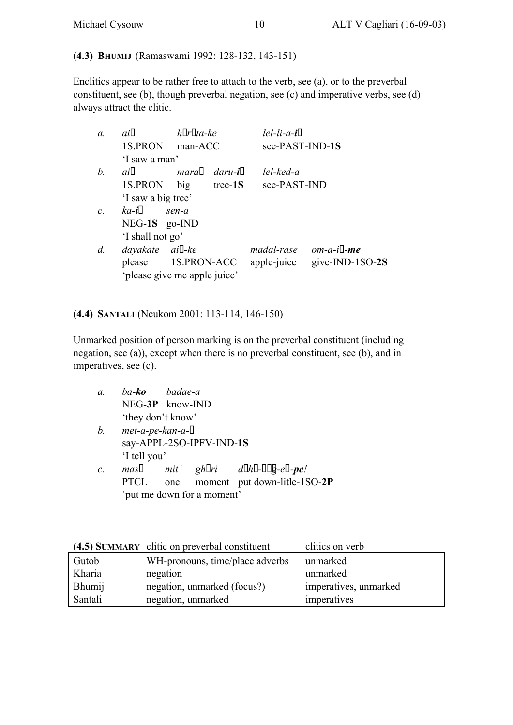#### **(4.3) BHUMIJ** (Ramaswami 1992: 128-132, 143-151)

Enclitics appear to be rather free to attach to the verb, see (a), or to the preverbal constituent, see (b), though preverbal negation, see (c) and imperative verbs, see (d) always attract the clitic.

| $a$ .           | ain                | horota-ke                    |            | $lel$ - $li$ - $a$ -in |                 |
|-----------------|--------------------|------------------------------|------------|------------------------|-----------------|
|                 | 1S.PRON            | man-ACC                      |            | see-PAST-IND-1S        |                 |
|                 | 'I saw a man'      |                              |            |                        |                 |
| b.              | ain                | maran                        | daru-in    | $le$ l-ked-a           |                 |
|                 | 1S.PRON            | big                          | tree- $1S$ | see-PAST-IND           |                 |
|                 | 'I saw a big tree' |                              |            |                        |                 |
| $\mathcal{C}$ . | ka-in              | sen-a                        |            |                        |                 |
|                 | NEG-1S go-IND      |                              |            |                        |                 |
|                 | 'I shall not go'   |                              |            |                        |                 |
| d.              | dayakate           | aiŋ-ke                       |            | madal-rase             | $om-a-ip$ -me   |
|                 | please             | 1S.PRON-ACC                  |            | apple-juice            | give-IND-1SO-2S |
|                 |                    | 'please give me apple juice' |            |                        |                 |

#### **(4.4) SANTALI** (Neukom 2001: 113-114, 146-150)

Unmarked position of person marking is on the preverbal constituent (including negation, see (a)), except when there is no preverbal constituent, see (b), and in imperatives, see (c).

| а. | ba <b>-ko</b>     | badae-a         |
|----|-------------------|-----------------|
|    |                   | NEG-3P know-IND |
|    | 'they don't know' |                 |

- *b.*  $met-a-pe-kan-a-pi$ say-APPL-2SO-IPFV-IND-**1S** 'I tell you'
- $c$ *.*  $\text{mas} \varepsilon$   $\text{mit} \cdot$   $\text{ghori}$   $\text{d} \circ \text{h} \circ \text{-} \text{p} \circ \text{sg}\text{-} \text{ep}.$ PTCL one moment put down-litle-1SO-**2P** 'put me down for a moment'

|         | (4.5) SUMMARY clitic on preverbal constituent | clitics on verb       |
|---------|-----------------------------------------------|-----------------------|
| Gutob   | WH-pronouns, time/place adverbs               | unmarked              |
| Kharia  | negation                                      | unmarked              |
| Bhumij  | negation, unmarked (focus?)                   | imperatives, unmarked |
| Santali | negation, unmarked                            | imperatives           |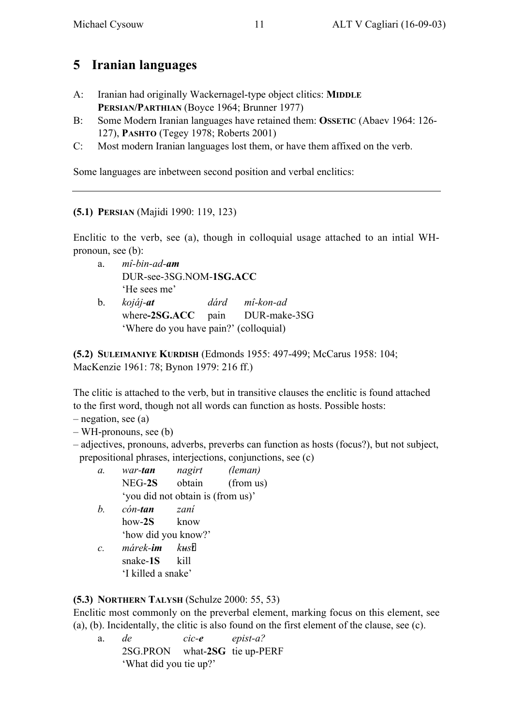# **5 Iranian languages**

- A: Iranian had originally Wackernagel-type object clitics: **MIDDLE PERSIAN/PARTHIAN** (Boyce 1964; Brunner 1977)
- B: Some Modern Iranian languages have retained them: **OSSETIC** (Abaev 1964: 126- 127), **PASHTO** (Tegey 1978; Roberts 2001)
- C: Most modern Iranian languages lost them, or have them affixed on the verb.

Some languages are inbetween second position and verbal enclitics:

**(5.1) PERSIAN** (Majidi 1990: 119, 123)

Enclitic to the verb, see (a), though in colloquial usage attached to an intial WHpronoun, see (b):

- a. *mî-bin-ad-am* DUR-see-3SG.NOM-**1SG.ACC** 'He sees me'
- b. *kojáj-at dárd mî-kon-ad* where**-2SG.ACC** pain DUR-make-3SG 'Where do you have pain?' (colloquial)

**(5.2) SULEIMANIYE KURDISH** (Edmonds 1955: 497-499; McCarus 1958: 104; MacKenzie 1961: 78; Bynon 1979: 216 ff.)

The clitic is attached to the verb, but in transitive clauses the enclitic is found attached to the first word, though not all words can function as hosts. Possible hosts:

– negation, see (a)

– WH-pronouns, see (b)

- adjectives, pronouns, adverbs, preverbs can function as hosts (focus?), but not subject, prepositional phrases, interjections, conjunctions, see (c)
	- *a. war-tan nagirt (leman)* NEG-**2S** obtain (from us) 'you did not obtain is (from us)'
	- *b. cón-tan zaní* how-**2S** know 'how did you know?'
	- *c. márek-im kus‡t* snake-**1S** kill 'I killed a snake'

## **(5.3) NORTHERN TALYSH** (Schulze 2000: 55, 53)

Enclitic most commonly on the preverbal element, marking focus on this element, see (a), (b). Incidentally, the clitic is also found on the first element of the clause, see (c).

a. *de cic-e epist-a?* 2SG.PRON what-**2SG** tie up-PERF 'What did you tie up?'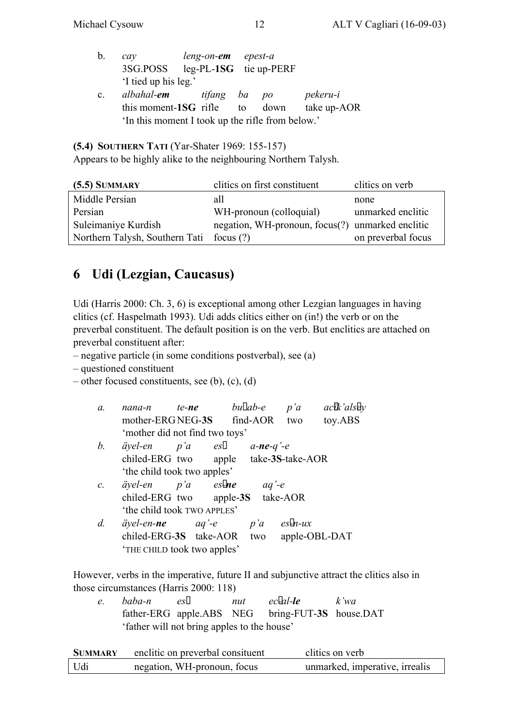- b. *cay leng-on-em epest-a* 3SG.POSS leg-PL-**1SG** tie up-PERF 'I tied up his leg.'
- c. *albahal-em tifang ba po pekeru-i* this moment-**1SG** rifle to down take up-AOR 'In this moment I took up the rifle from below.'

**(5.4) SOUTHERN TATI** (Yar-Shater 1969: 155-157)

Appears to be highly alike to the neighbouring Northern Talysh.

| $(5.5)$ SUMMARY                | clitics on first constituent                     | clitics on verb    |
|--------------------------------|--------------------------------------------------|--------------------|
| Middle Persian                 | all                                              | none               |
| Persian                        | WH-pronoun (colloquial)                          | unmarked enclitic  |
| Suleimaniye Kurdish            | negation, WH-pronoun, focus(?) unmarked enclitic |                    |
| Northern Talysh, Southern Tati | focus $(?)$                                      | on preverbal focus |

# **6 Udi (Lezgian, Caucasus)**

Udi (Harris 2000: Ch. 3, 6) is exceptional among other Lezgian languages in having clitics (cf. Haspelmath 1993). Udi adds clitics either on (in!) the verb or on the preverbal constituent. The default position is on the verb. But enclitics are attached on preverbal constituent after:

– negative particle (in some conditions postverbal), see (a)

– questioned constituent

```
– other focused constituents, see (b), (c), (d)
```
- *a. nana-n te-ne buƒab-e p'a ac‡ik'als‡ey* mother-ERG NEG-**3S** find-AOR two toy.ABS 'mother did not find two toys' *b.*  $äyel-en$   $p'a$   $e\check{s}$   $a-ne-q'-e$
- chiled-ERG two apple take-**3S**-take-AOR 'the child took two apples'
- *c. äyel-en p'a es‡-ne aq'-e* chiled-ERG two apple-**3S** take-AOR 'the child took TWO APPLES'
- *d. äyel-en-ne aq'-e p'a es‡-n-ux* chiled-ERG-**3S** take-AOR two apple-OBL-DAT 'THE CHILD took two apples'

However, verbs in the imperative, future II and subjunctive attract the clitics also in those circumstances (Harris 2000: 118)

*e. baba-n es‡ nut ec‡-al-le k'wa* father-ERG apple.ABS NEG bring-FUT-**3S** house.DAT 'father will not bring apples to the house'

| SUMMARY | enclitic on preverbal consituent | clitics on verb                |
|---------|----------------------------------|--------------------------------|
| Udi     | negation, WH-pronoun, focus      | unmarked, imperative, irrealis |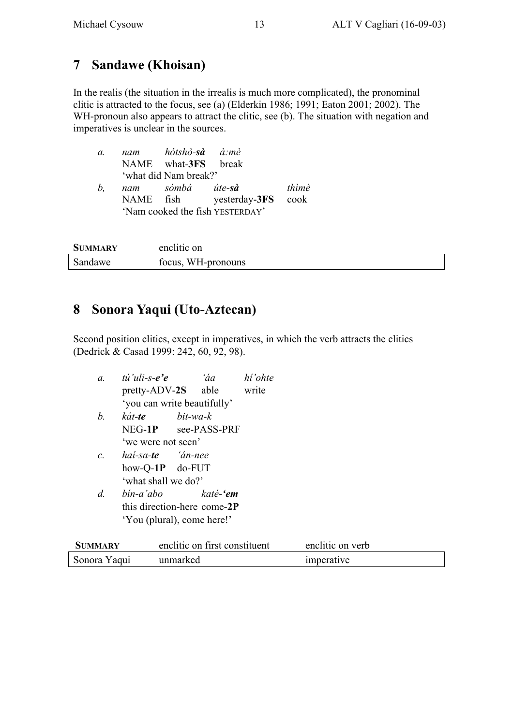## **7 Sandawe (Khoisan)**

In the realis (the situation in the irrealis is much more complicated), the pronominal clitic is attracted to the focus, see (a) (Elderkin 1986; 1991; Eaton 2001; 2002). The WH-pronoun also appears to attract the clitic, see (b). The situation with negation and imperatives is unclear in the sources.

| a. | nam | hótshò <b>-sà</b> à:mè |                                 |       |
|----|-----|------------------------|---------------------------------|-------|
|    |     | NAME what-3FS break    |                                 |       |
|    |     | 'what did Nam break?'  |                                 |       |
| b. |     | nam sómbá úte-sà       |                                 | thìmè |
|    |     | NAME fish              | yesterday-3FS cook              |       |
|    |     |                        | 'Nam cooked the fish YESTERDAY' |       |

| <b>SUMMARY</b> | enclitic on        |
|----------------|--------------------|
| Sandawe        | focus, WH-pronouns |

## **8 Sonora Yaqui (Uto-Aztecan)**

Second position clitics, except in imperatives, in which the verb attracts the clitics (Dedrick & Casad 1999: 242, 60, 92, 98).

| $a$ .           | tú'uli-s-e'e<br>pretty-ADV-2S able                                     | 'áa<br>'you can write beautifully'                                                      | hí'ohte<br>write |                  |  |
|-----------------|------------------------------------------------------------------------|-----------------------------------------------------------------------------------------|------------------|------------------|--|
| b.              | kát-te<br>'we were not seen'                                           | bit-wa-k<br>NEG-1P see-PASS-PRF                                                         |                  |                  |  |
| $\mathcal{C}$ . | hai-sa- <b>te</b> 'án-nee<br>how-Q- $1P$ do-FUT<br>'what shall we do?' |                                                                                         |                  |                  |  |
| $d$ .           |                                                                        | bin-a'abo katé- <b>'em</b><br>this direction-here come-2P<br>'You (plural), come here!' |                  |                  |  |
| <b>SUMMARY</b>  |                                                                        | enclitic on first constituent                                                           |                  | enclitic on verb |  |
| Sonora Yaqui    |                                                                        | unmarked                                                                                |                  | imperative       |  |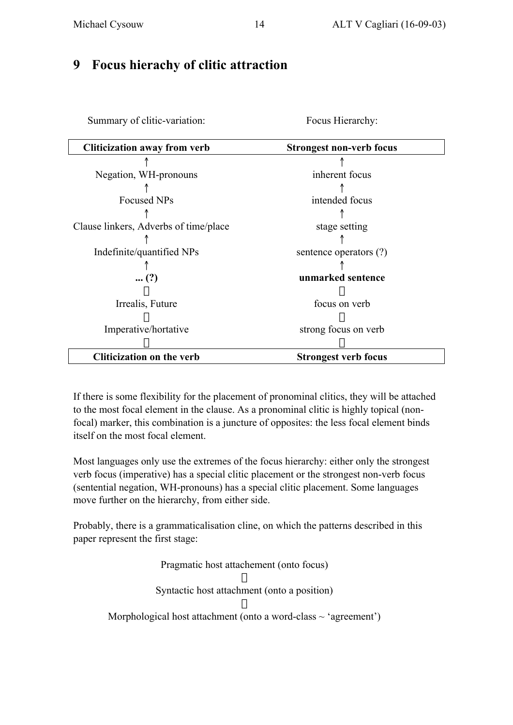## **9 Focus hierachy of clitic attraction**

Focus Hierarchy:

| <b>Cliticization away from verb</b>   | <b>Strongest non-verb focus</b> |
|---------------------------------------|---------------------------------|
|                                       |                                 |
| Negation, WH-pronouns                 | inherent focus                  |
|                                       |                                 |
| <b>Focused NPs</b>                    | intended focus                  |
|                                       |                                 |
| Clause linkers, Adverbs of time/place | stage setting                   |
|                                       |                                 |
| Indefinite/quantified NPs             | sentence operators (?)          |
|                                       |                                 |
| $(?)$                                 | unmarked sentence               |
|                                       |                                 |
| Irrealis, Future                      | focus on verb                   |
|                                       |                                 |
| Imperative/hortative                  | strong focus on verb            |
|                                       |                                 |
| <b>Cliticization on the verb</b>      | <b>Strongest verb focus</b>     |

If there is some flexibility for the placement of pronominal clitics, they will be attached to the most focal element in the clause. As a pronominal clitic is highly topical (nonfocal) marker, this combination is a juncture of opposites: the less focal element binds itself on the most focal element.

Most languages only use the extremes of the focus hierarchy: either only the strongest verb focus (imperative) has a special clitic placement or the strongest non-verb focus (sentential negation, WH-pronouns) has a special clitic placement. Some languages move further on the hierarchy, from either side.

Probably, there is a grammaticalisation cline, on which the patterns described in this paper represent the first stage:

> Pragmatic host attachement (onto focus) Ø Syntactic host attachment (onto a position) Ø Morphological host attachment (onto a word-class  $\sim$  'agreement')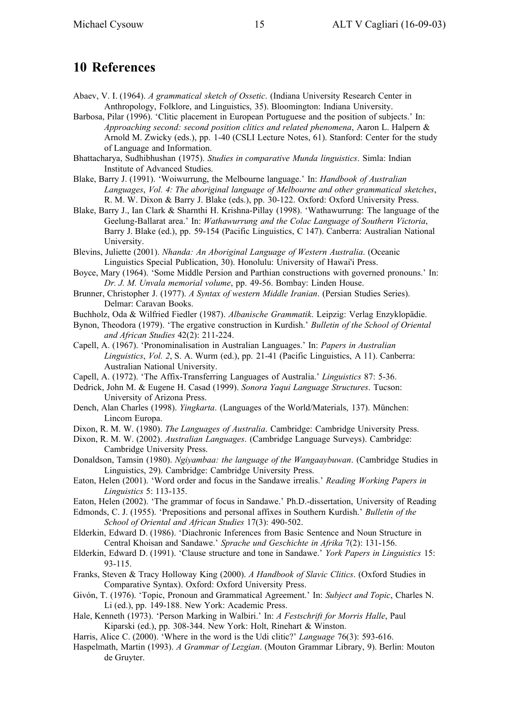## **10 References**

- Abaev, V. I. (1964). *A grammatical sketch of Ossetic*. (Indiana University Research Center in Anthropology, Folklore, and Linguistics, 35). Bloomington: Indiana University.
- Barbosa, Pilar (1996). 'Clitic placement in European Portuguese and the position of subjects.' In: *Approaching second: second position clitics and related phenomena*, Aaron L. Halpern & Arnold M. Zwicky (eds.), pp. 1-40 (CSLI Lecture Notes, 61). Stanford: Center for the study of Language and Information.
- Bhattacharya, Sudhibhushan (1975). *Studies in comparative Munda linguistics*. Simla: Indian Institute of Advanced Studies.
- Blake, Barry J. (1991). 'Woiwurrung, the Melbourne language.' In: *Handbook of Australian Languages*, *Vol. 4: The aboriginal language of Melbourne and other grammatical sketches*, R. M. W. Dixon & Barry J. Blake (eds.), pp. 30-122. Oxford: Oxford University Press.
- Blake, Barry J., Ian Clark & Sharnthi H. Krishna-Pillay (1998). 'Wathawurrung: The language of the Geelung-Ballarat area.' In: *Wathawurrung and the Colac Language of Southern Victoria*, Barry J. Blake (ed.), pp. 59-154 (Pacific Linguistics, C 147). Canberra: Australian National University.
- Blevins, Juliette (2001). *Nhanda: An Aboriginal Language of Western Australia*. (Oceanic Linguistics Special Publication, 30). Honolulu: University of Hawai'i Press.
- Boyce, Mary (1964). 'Some Middle Persion and Parthian constructions with governed pronouns.' In: *Dr. J. M. Unvala memorial volume*, pp. 49-56. Bombay: Linden House.
- Brunner, Christopher J. (1977). *A Syntax of western Middle Iranian*. (Persian Studies Series). Delmar: Caravan Books.
- Buchholz, Oda & Wilfried Fiedler (1987). *Albanische Grammatik*. Leipzig: Verlag Enzyklopädie.
- Bynon, Theodora (1979). 'The ergative construction in Kurdish.' *Bulletin of the School of Oriental and African Studies* 42(2): 211-224.
- Capell, A. (1967). 'Pronominalisation in Australian Languages.' In: *Papers in Australian Linguistics*, *Vol. 2*, S. A. Wurm (ed.), pp. 21-41 (Pacific Linguistics, A 11). Canberra: Australian National University.
- Capell, A. (1972). 'The Affix-Transferring Languages of Australia.' *Linguistics* 87: 5-36.
- Dedrick, John M. & Eugene H. Casad (1999). *Sonora Yaqui Language Structures*. Tucson: University of Arizona Press.
- Dench, Alan Charles (1998). *Yingkarta*. (Languages of the World/Materials, 137). München: Lincom Europa.
- Dixon, R. M. W. (1980). *The Languages of Australia*. Cambridge: Cambridge University Press.
- Dixon, R. M. W. (2002). *Australian Languages*. (Cambridge Language Surveys). Cambridge: Cambridge University Press.
- Donaldson, Tamsin (1980). *Ngiyambaa: the language of the Wangaaybuwan*. (Cambridge Studies in Linguistics, 29). Cambridge: Cambridge University Press.
- Eaton, Helen (2001). 'Word order and focus in the Sandawe irrealis.' *Reading Working Papers in Linguistics* 5: 113-135.
- Eaton, Helen (2002). 'The grammar of focus in Sandawe.' Ph.D.-dissertation, University of Reading
- Edmonds, C. J. (1955). 'Prepositions and personal affixes in Southern Kurdish.' *Bulletin of the School of Oriental and African Studies* 17(3): 490-502.
- Elderkin, Edward D. (1986). 'Diachronic Inferences from Basic Sentence and Noun Structure in Central Khoisan and Sandawe.' *Sprache und Geschichte in Afrika* 7(2): 131-156.
- Elderkin, Edward D. (1991). 'Clause structure and tone in Sandawe.' *York Papers in Linguistics* 15: 93-115.
- Franks, Steven & Tracy Holloway King (2000). *A Handbook of Slavic Clitics*. (Oxford Studies in Comparative Syntax). Oxford: Oxford University Press.
- Givón, T. (1976). 'Topic, Pronoun and Grammatical Agreement.' In: *Subject and Topic*, Charles N. Li (ed.), pp. 149-188. New York: Academic Press.
- Hale, Kenneth (1973). 'Person Marking in Walbiri.' In: *A Festschrift for Morris Halle*, Paul Kiparski (ed.), pp. 308-344. New York: Holt, Rinehart & Winston.
- Harris, Alice C. (2000). 'Where in the word is the Udi clitic?' *Language* 76(3): 593-616.
- Haspelmath, Martin (1993). *A Grammar of Lezgian*. (Mouton Grammar Library, 9). Berlin: Mouton de Gruyter.